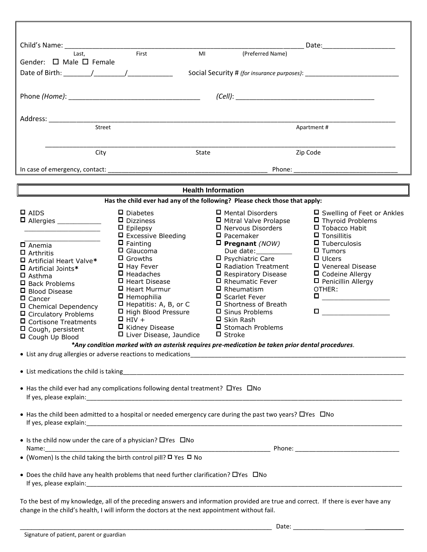|                                                                                                                                                                                                                                                                                                       |                                                                                                                                                                                                                                                                                                               |                                                                                                                                                                                                                                                                                                                        | Date: the contract of the contract of the contract of the contract of the contract of the contract of the contract of the contract of the contract of the contract of the contract of the contract of the contract of the cont                                                                                                                                  |  |  |  |
|-------------------------------------------------------------------------------------------------------------------------------------------------------------------------------------------------------------------------------------------------------------------------------------------------------|---------------------------------------------------------------------------------------------------------------------------------------------------------------------------------------------------------------------------------------------------------------------------------------------------------------|------------------------------------------------------------------------------------------------------------------------------------------------------------------------------------------------------------------------------------------------------------------------------------------------------------------------|-----------------------------------------------------------------------------------------------------------------------------------------------------------------------------------------------------------------------------------------------------------------------------------------------------------------------------------------------------------------|--|--|--|
| Last,<br>Gender: $\Box$ Male $\Box$ Female                                                                                                                                                                                                                                                            | First<br>MI                                                                                                                                                                                                                                                                                                   | (Preferred Name)                                                                                                                                                                                                                                                                                                       |                                                                                                                                                                                                                                                                                                                                                                 |  |  |  |
| Date of Birth: $\sqrt{2\pi}$                                                                                                                                                                                                                                                                          |                                                                                                                                                                                                                                                                                                               |                                                                                                                                                                                                                                                                                                                        | Social Security # (for insurance purposes):                                                                                                                                                                                                                                                                                                                     |  |  |  |
|                                                                                                                                                                                                                                                                                                       |                                                                                                                                                                                                                                                                                                               |                                                                                                                                                                                                                                                                                                                        |                                                                                                                                                                                                                                                                                                                                                                 |  |  |  |
|                                                                                                                                                                                                                                                                                                       |                                                                                                                                                                                                                                                                                                               |                                                                                                                                                                                                                                                                                                                        |                                                                                                                                                                                                                                                                                                                                                                 |  |  |  |
|                                                                                                                                                                                                                                                                                                       |                                                                                                                                                                                                                                                                                                               |                                                                                                                                                                                                                                                                                                                        |                                                                                                                                                                                                                                                                                                                                                                 |  |  |  |
|                                                                                                                                                                                                                                                                                                       |                                                                                                                                                                                                                                                                                                               |                                                                                                                                                                                                                                                                                                                        |                                                                                                                                                                                                                                                                                                                                                                 |  |  |  |
| Street                                                                                                                                                                                                                                                                                                |                                                                                                                                                                                                                                                                                                               |                                                                                                                                                                                                                                                                                                                        | Apartment #                                                                                                                                                                                                                                                                                                                                                     |  |  |  |
| City                                                                                                                                                                                                                                                                                                  | State                                                                                                                                                                                                                                                                                                         |                                                                                                                                                                                                                                                                                                                        | Zip Code                                                                                                                                                                                                                                                                                                                                                        |  |  |  |
|                                                                                                                                                                                                                                                                                                       |                                                                                                                                                                                                                                                                                                               |                                                                                                                                                                                                                                                                                                                        |                                                                                                                                                                                                                                                                                                                                                                 |  |  |  |
|                                                                                                                                                                                                                                                                                                       |                                                                                                                                                                                                                                                                                                               | Phone:                                                                                                                                                                                                                                                                                                                 |                                                                                                                                                                                                                                                                                                                                                                 |  |  |  |
|                                                                                                                                                                                                                                                                                                       |                                                                                                                                                                                                                                                                                                               | <b>Health Information</b>                                                                                                                                                                                                                                                                                              |                                                                                                                                                                                                                                                                                                                                                                 |  |  |  |
| Has the child ever had any of the following? Please check those that apply:                                                                                                                                                                                                                           |                                                                                                                                                                                                                                                                                                               |                                                                                                                                                                                                                                                                                                                        |                                                                                                                                                                                                                                                                                                                                                                 |  |  |  |
| $\Box$ AIDS                                                                                                                                                                                                                                                                                           | $\Box$ Diabetes<br>$\Box$ Dizziness<br>$\Box$ Epilepsy                                                                                                                                                                                                                                                        | □ Mental Disorders<br>□ Mitral Valve Prolapse<br>□ Nervous Disorders                                                                                                                                                                                                                                                   | □ Swelling of Feet or Ankles<br>$\blacksquare$ Thyroid Problems<br>$\Box$ Tobacco Habit                                                                                                                                                                                                                                                                         |  |  |  |
| $\Box$ Anemia<br>$\Box$ Arthritis<br>□ Artificial Heart Valve*<br>□ Artificial Joints*<br>$\Box$ Asthma<br>$\Box$ Back Problems<br>□ Blood Disease<br>$\Box$ Cancer<br>□ Chemical Dependency<br>□ Circulatory Problems<br>$\Box$ Cortisone Treatments<br>$\Box$ Cough, persistent<br>□ Cough Up Blood | $\Box$ Excessive Bleeding<br>$\Box$ Fainting<br>$\Box$ Glaucoma<br>$\Box$ Growths<br>$\Box$ Hay Fever<br>$\Box$ Headaches<br>□ Heart Disease<br>□ Heart Murmur<br>$\Box$ Hemophilia<br>$\Box$ Hepatitis: A, B, or C<br>□ High Blood Pressure<br>$\Box$ HIV +<br>□ Kidney Disease<br>□ Liver Disease, Jaundice | $\square$ Pacemaker<br>$\square$ Pregnant (NOW)<br>Due date:__________<br>□ Psychiatric Care<br>□ Radiation Treatment<br>$\Box$ Respiratory Disease<br>□ Rheumatic Fever<br>$\Box$ Rheumatism<br>□ Scarlet Fever<br>□ Shortness of Breath<br>□ Sinus Problems<br>□ Skin Rash<br>□ Stomach Problems<br>$\square$ Stroke | $\Box$ Tonsillitis<br>$\blacksquare$ Tuberculosis<br>$\Box$ Tumors<br>$\Box$ Ulcers<br>D Venereal Disease<br>$\Box$ Codeine Allergy<br>D Penicillin Allergy<br>OTHER:<br>$\begin{tabular}{ c c c c } \hline \quad \quad & \quad \quad & \quad \quad & \quad \quad \\ \hline \quad \quad & \quad \quad & \quad \quad & \quad \quad \\ \hline \end{tabular}$<br>П |  |  |  |
| *Any condition marked with an asterisk requires pre-medication be taken prior dental procedures.                                                                                                                                                                                                      |                                                                                                                                                                                                                                                                                                               |                                                                                                                                                                                                                                                                                                                        |                                                                                                                                                                                                                                                                                                                                                                 |  |  |  |
|                                                                                                                                                                                                                                                                                                       |                                                                                                                                                                                                                                                                                                               |                                                                                                                                                                                                                                                                                                                        |                                                                                                                                                                                                                                                                                                                                                                 |  |  |  |
|                                                                                                                                                                                                                                                                                                       |                                                                                                                                                                                                                                                                                                               |                                                                                                                                                                                                                                                                                                                        |                                                                                                                                                                                                                                                                                                                                                                 |  |  |  |
| • Has the child ever had any complications following dental treatment? OYes ONo                                                                                                                                                                                                                       |                                                                                                                                                                                                                                                                                                               |                                                                                                                                                                                                                                                                                                                        |                                                                                                                                                                                                                                                                                                                                                                 |  |  |  |
| • Has the child been admitted to a hospital or needed emergency care during the past two years? OYes ONo                                                                                                                                                                                              |                                                                                                                                                                                                                                                                                                               |                                                                                                                                                                                                                                                                                                                        |                                                                                                                                                                                                                                                                                                                                                                 |  |  |  |
| • Is the child now under the care of a physician? $\Box$ Yes $\Box$ No                                                                                                                                                                                                                                |                                                                                                                                                                                                                                                                                                               |                                                                                                                                                                                                                                                                                                                        |                                                                                                                                                                                                                                                                                                                                                                 |  |  |  |
| • (Women) Is the child taking the birth control pill? $\Box$ Yes $\Box$ No                                                                                                                                                                                                                            |                                                                                                                                                                                                                                                                                                               |                                                                                                                                                                                                                                                                                                                        |                                                                                                                                                                                                                                                                                                                                                                 |  |  |  |
|                                                                                                                                                                                                                                                                                                       | • Does the child have any health problems that need further clarification? OYes ONo                                                                                                                                                                                                                           |                                                                                                                                                                                                                                                                                                                        |                                                                                                                                                                                                                                                                                                                                                                 |  |  |  |
| To the best of my knowledge, all of the preceding answers and information provided are true and correct. If there is ever have any<br>change in the child's health, I will inform the doctors at the next appointment without fail.                                                                   |                                                                                                                                                                                                                                                                                                               |                                                                                                                                                                                                                                                                                                                        |                                                                                                                                                                                                                                                                                                                                                                 |  |  |  |